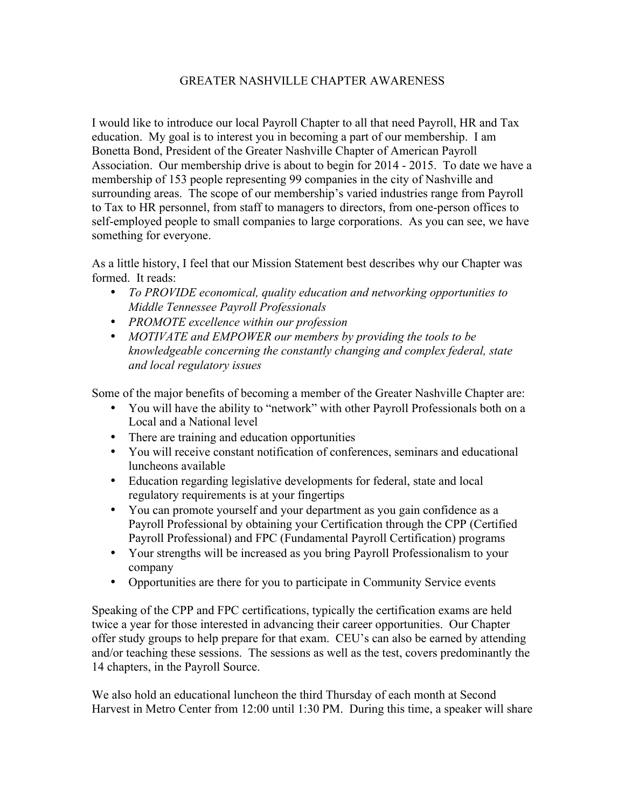## GREATER NASHVILLE CHAPTER AWARENESS

I would like to introduce our local Payroll Chapter to all that need Payroll, HR and Tax education. My goal is to interest you in becoming a part of our membership. I am Bonetta Bond, President of the Greater Nashville Chapter of American Payroll Association. Our membership drive is about to begin for 2014 - 2015. To date we have a membership of 153 people representing 99 companies in the city of Nashville and surrounding areas. The scope of our membership's varied industries range from Payroll to Tax to HR personnel, from staff to managers to directors, from one-person offices to self-employed people to small companies to large corporations. As you can see, we have something for everyone.

As a little history, I feel that our Mission Statement best describes why our Chapter was formed. It reads:

- *To PROVIDE economical, quality education and networking opportunities to Middle Tennessee Payroll Professionals*
- *PROMOTE excellence within our profession*
- *MOTIVATE and EMPOWER our members by providing the tools to be knowledgeable concerning the constantly changing and complex federal, state and local regulatory issues*

Some of the major benefits of becoming a member of the Greater Nashville Chapter are:

- You will have the ability to "network" with other Payroll Professionals both on a Local and a National level
- There are training and education opportunities
- You will receive constant notification of conferences, seminars and educational luncheons available
- Education regarding legislative developments for federal, state and local regulatory requirements is at your fingertips
- You can promote yourself and your department as you gain confidence as a Payroll Professional by obtaining your Certification through the CPP (Certified Payroll Professional) and FPC (Fundamental Payroll Certification) programs
- Your strengths will be increased as you bring Payroll Professionalism to your company
- Opportunities are there for you to participate in Community Service events

Speaking of the CPP and FPC certifications, typically the certification exams are held twice a year for those interested in advancing their career opportunities. Our Chapter offer study groups to help prepare for that exam. CEU's can also be earned by attending and/or teaching these sessions. The sessions as well as the test, covers predominantly the 14 chapters, in the Payroll Source.

We also hold an educational luncheon the third Thursday of each month at Second Harvest in Metro Center from 12:00 until 1:30 PM. During this time, a speaker will share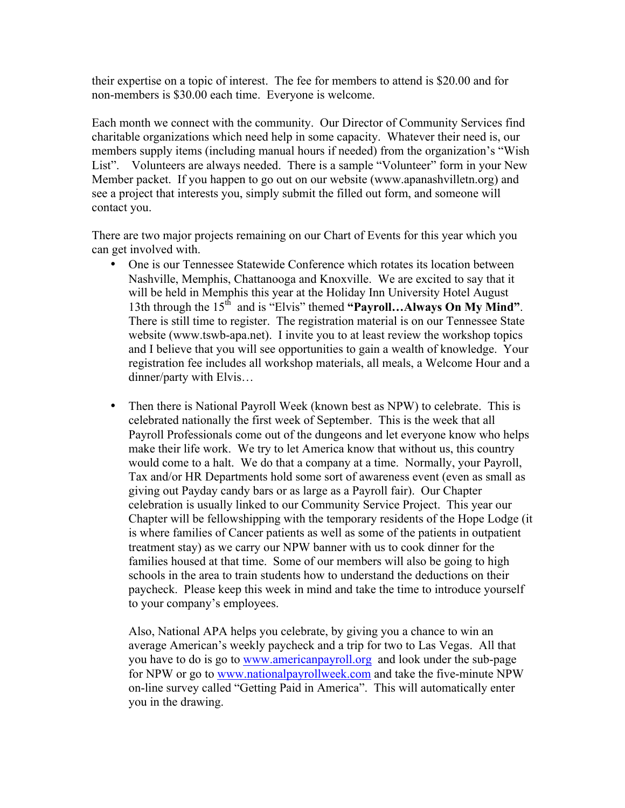their expertise on a topic of interest. The fee for members to attend is \$20.00 and for non-members is \$30.00 each time. Everyone is welcome.

Each month we connect with the community. Our Director of Community Services find charitable organizations which need help in some capacity. Whatever their need is, our members supply items (including manual hours if needed) from the organization's "Wish List". Volunteers are always needed. There is a sample "Volunteer" form in your New Member packet. If you happen to go out on our website (www.apanashvilletn.org) and see a project that interests you, simply submit the filled out form, and someone will contact you.

There are two major projects remaining on our Chart of Events for this year which you can get involved with.

- One is our Tennessee Statewide Conference which rotates its location between Nashville, Memphis, Chattanooga and Knoxville. We are excited to say that it will be held in Memphis this year at the Holiday Inn University Hotel August 13th through the 15<sup>th</sup> and is "Elvis" themed "Payroll...Always On My Mind". There is still time to register. The registration material is on our Tennessee State website (www.tswb-apa.net). I invite you to at least review the workshop topics and I believe that you will see opportunities to gain a wealth of knowledge. Your registration fee includes all workshop materials, all meals, a Welcome Hour and a dinner/party with Elvis…
- Then there is National Payroll Week (known best as NPW) to celebrate. This is celebrated nationally the first week of September. This is the week that all Payroll Professionals come out of the dungeons and let everyone know who helps make their life work. We try to let America know that without us, this country would come to a halt. We do that a company at a time. Normally, your Payroll, Tax and/or HR Departments hold some sort of awareness event (even as small as giving out Payday candy bars or as large as a Payroll fair). Our Chapter celebration is usually linked to our Community Service Project. This year our Chapter will be fellowshipping with the temporary residents of the Hope Lodge (it is where families of Cancer patients as well as some of the patients in outpatient treatment stay) as we carry our NPW banner with us to cook dinner for the families housed at that time. Some of our members will also be going to high schools in the area to train students how to understand the deductions on their paycheck. Please keep this week in mind and take the time to introduce yourself to your company's employees.

Also, National APA helps you celebrate, by giving you a chance to win an average American's weekly paycheck and a trip for two to Las Vegas. All that you have to do is go to www.americanpayroll.org and look under the sub-page for NPW or go to www.nationalpayrollweek.com and take the five-minute NPW on-line survey called "Getting Paid in America". This will automatically enter you in the drawing.